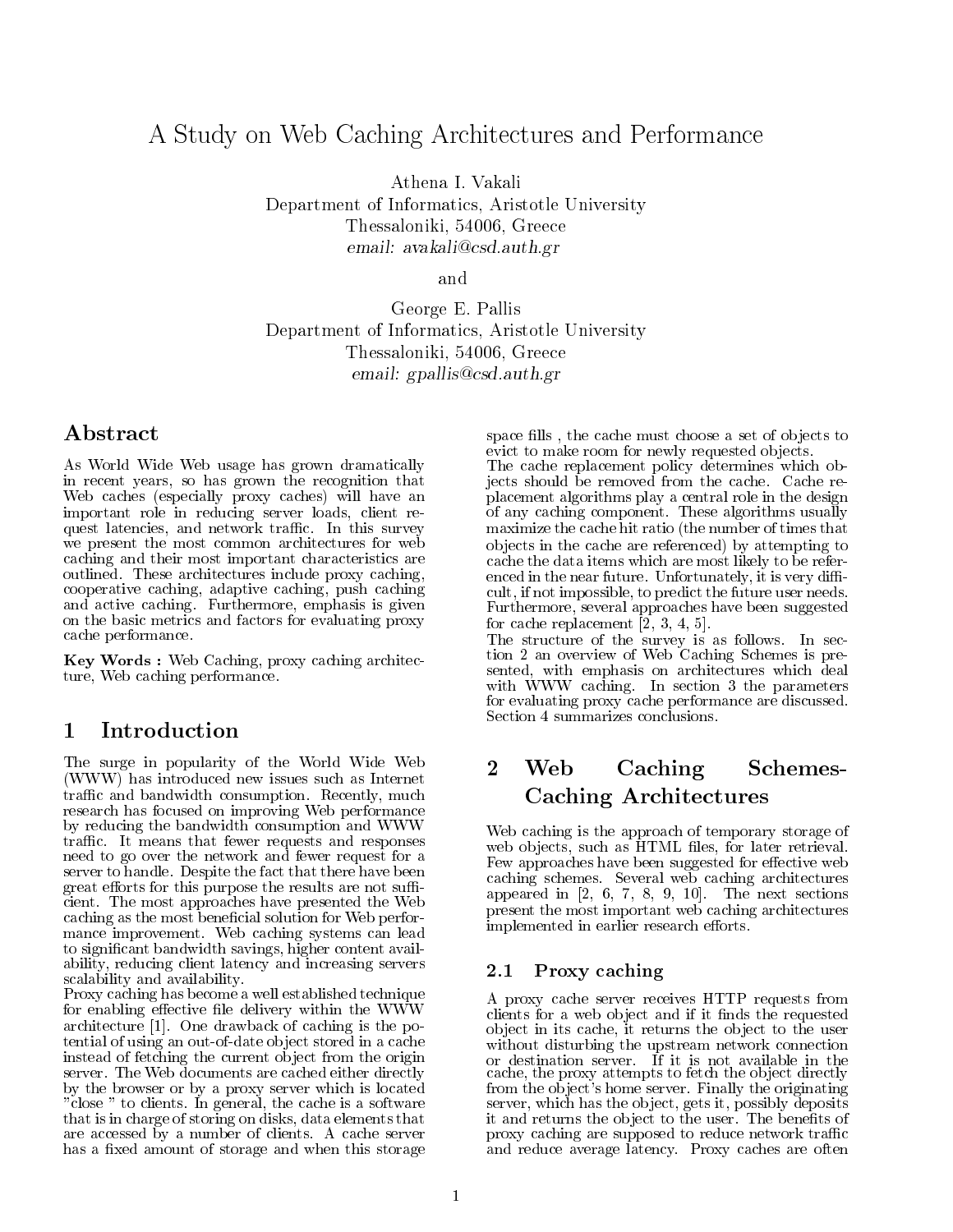# A Study on Web Caching Architectures and Performance

Athena I. Vakali

Department of Informatics Aristotle University Thessaloniki - Greece email avakalicsd-auth-gr

George E. Pallis Department of Informatics Aristotle University Thessaloniki - Greece email graduation and contract and contract of the second second second second second second second second second second second second second second second second second second second second second second second second seco

# Abstract

As World Wide Web usage has grown dramatically in recent years, so has grown the recognition that Web caches especially proxy caches- will have an important role in reducing server loads, client request latencies, and network traffic. In this survey we present the most common architectures for web caching and their most important characteristics are outlined. These architectures include proxy caching, cooperative caching adaptive caching adaptive caching push caching push caching push caching push caching push and active caching Furthermore emphasis is  $\alpha$  -  $\alpha$ on the basic metrics and factors for evaluating proxy cache performance

 $\bf{Key}$  words : web Caching, proxy caching architecture, Web caching performance.

# Introduction

The surge in popularity of the World Wide Web WWW- has introduced new issues such as Internet traffic and bandwidth consumption. Recently, much research has focused on improving Web performance by reducing the bandwidth consumption and WWW traffic. It means that fewer requests and responses need to go over the network and fewer request for a server to handle. Despite the fact that there have been great efforts for this purpose the results are not sufficient. The most approaches have presented the Web caching as the most beneficial solution for Web performance improvement. Web caching systems can lead to significant bandwidth savings, higher content availability, reducing client latency and increasing servers scalability and availability

Proxy caching has become a well established technique for enabling effective file delivery within the WWW architecture  $\mathcal{C}$  , and  $\mathcal{C}$  is the positive is the positive intervals in the positive intervals in the positive intervals in the positive intervals in the positive intervals in the positive intervals in the posit tential of using an out-of-date object stored in a cache instead of fetching the current ob ject from the origin server. The Web documents are cached either directly by the browser or by a proxy server which is located "close" to clients. In general, the cache is a software that is in charge of storing on disks, data elements that are accessed by a number of clients A cache server has a fixed amount of storage and when this storage

space fills, the cache must choose a set of objects to evict to make room for newly requested objects.

The cache replacement policy determines which ob jects should be removed from the cache Cache re placement algorithms play a central role in the design of any caching component. These algorithms usually maximize the cache hit ratio (the number of times that ob jects in the cache are referenced- by attempting to cache the data items which are most likely to be refer enced in the near future. Unfortunately, it is very difficult, if not impossible, to predict the future user needs. Furthermore, several approaches have been suggested for cache replacement  

The structure of the survey is as follows. In section 2 an overview of Web Caching Schemes is presented, with emphasis on architectures which deal with  $WWW$  caching. In section 3 the parameters for evaluating proxy cache performance are discussed Section 4 summarizes conclusions.

### Web Caching Schemes-Caching Architectures

Web caching is the approach of temporary storage of web objects, such as HTML files, for later retrieval. Few approaches have been suggested for eective web caching schemes Several web caching architectures architectures appeared in the next section of the next section of the next section of the next section  $\mathcal{S}$ present the most important web caching architectures implemented in earlier research efforts.

#### $2.1$ Proxy caching

A proxy cache server receives HTTP requests from clients for a web object and if it finds the requested object in its cache, it returns the object to the user with disturbing the upstream network connection  $\mathbf{u}$ cache, the proxy attempts to fetch the object directly from the object's home server. Finally the originating server, which has the object, gets it, possibly deposits it and returns the object to the user. The benefits of proxy caching are supposed to reduce network traffic and reduce average latency. Proxy caches are often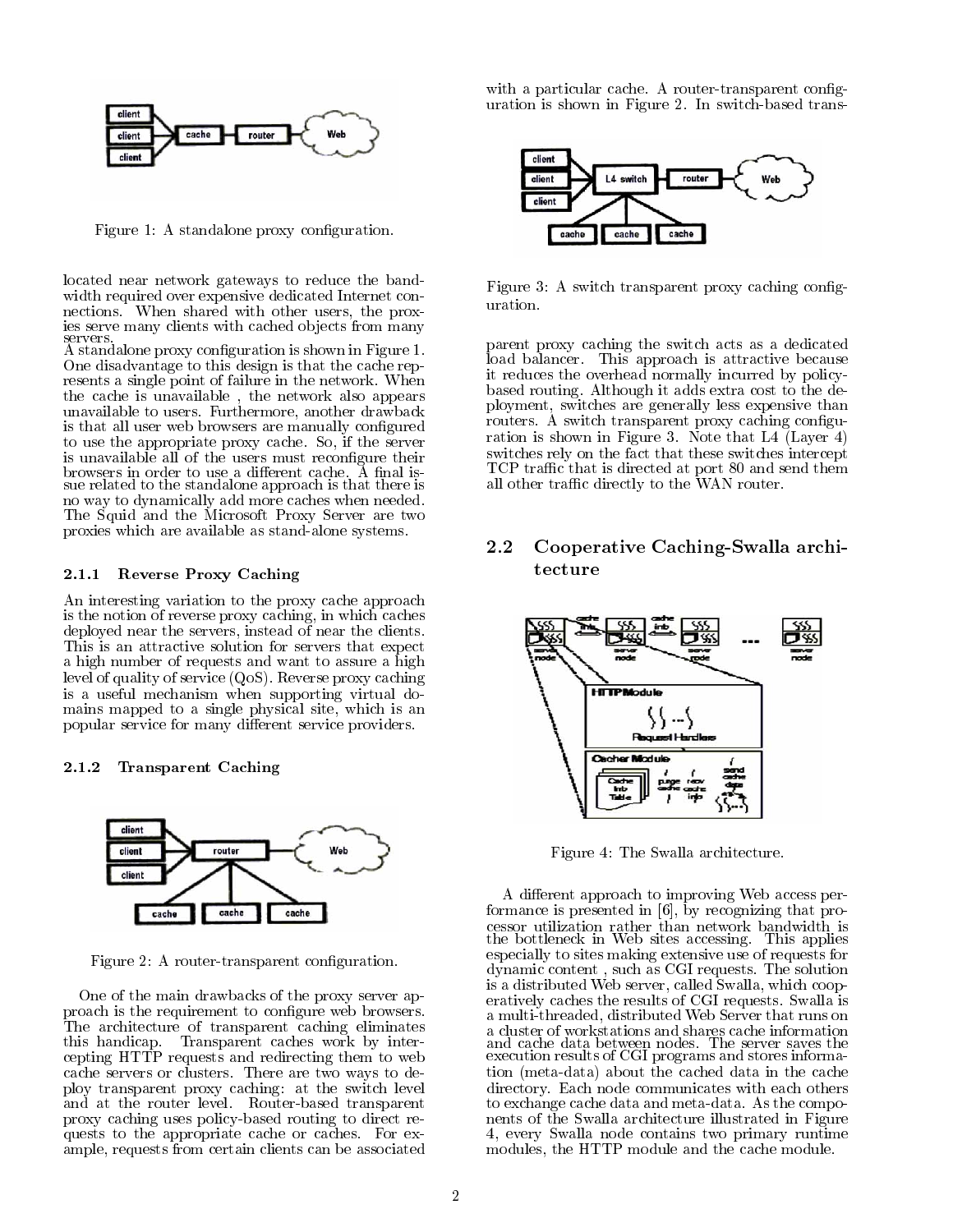

Figure 1: A standalone proxy configuration.

located near network gateways to reduce the band width required over expensive dedicated Internet con nections. When shared with other users, the prox-

servers.<br>A standalone proxy configuration is shown in Figure 1. One disadvantage to this design is that the cache rep resents a single point of failure in the network When the cache is unavailable, the network also appears unavailable to users. Furthermore, another drawback is that all user web browsers are manually configured to use the appropriate proxy cache. So, if the server is unavailable all of the users must reconfigure their  $s$ ue related to the standalone approach is that there is no way to dynamically add more caches when needed The Squid and the Microsoft Proxy Server are two proxies which are available as stand-alone systems.

#### 2.1.1 Reverse I TOXY Caching

An interesting variation to the proxy cache approach is the notion of reverse proxy caching, in which caches deployed near the servers, instead of near the clients. This is an attractive solution for servers that expect a high number of requests and want to assure a high level of quality of service QoS- Reverse proxy caching is a useful mechanism when supporting virtual do mains mapped to a single physical site, which is an popular service for many different service providers.

#### Transparent Caching



Figure 2: A router-transparent configuration.

One of the main drawbacks of the proxy server ap proach is the requirement to congure web browsers The architecture of transparent caching eliminates this handicap Transparent caches work by inter cepting HTTP requests and redirecting them to web cache servers or clusters. There are two ways to deploy transparent proxy caching: at the switch level and at the router level. Router-based transparent proxy caching uses policy-based routing to direct requests to the appropriate cache or caches. For example, requests from certain clients can be associated

with a particular cache. A router-transparent configuration is shown in Figure 2. In switch-based trans-



Figure 3: A switch transparent proxy caching configuration.

parent proxy caching the switch acts as a dedicated load balancer. This approach is attractive because it reduces the overhead normally incurred by policy based routing Although it adds extra cost to the de ployment, switches are generally less expensive than routers. A switch transparent proxy caching configuration is shown in Figure 3. Note that  $L4$  (Layer 4) switches rely on the fact that these switches intercept  $\operatorname{TCP}$  traffic that is directed at port  $80$  and send them all other traffic directly to the WAN router.

# 2.2 Cooperative Caching-Swalla architecture



Figure 4: The Swalla architecture.

A different approach to improving Web access performance is presented in by recognizing that pro the bottleneck in Web sites accessing. This applies especially to sites making extensive use of requests for dynamic content, such as CGI requests. The solution is a distributed Web server, called Swalla, which cooperatively caches the results of CGI requests Swalla is a multithreaded distributed web Server that runs on the server that runs on the server that runs on the server and cache data between nodes. The server saves the<br>execution results of CGI programs and stores information metadata- about the cached data in the cache directory. Each node communicates with each others to exchange cache data and meta-data. As the components of the Swalla architecture illustrated in Figure every Swalla node contains two primary runtime modules, the HTTP module and the cache module.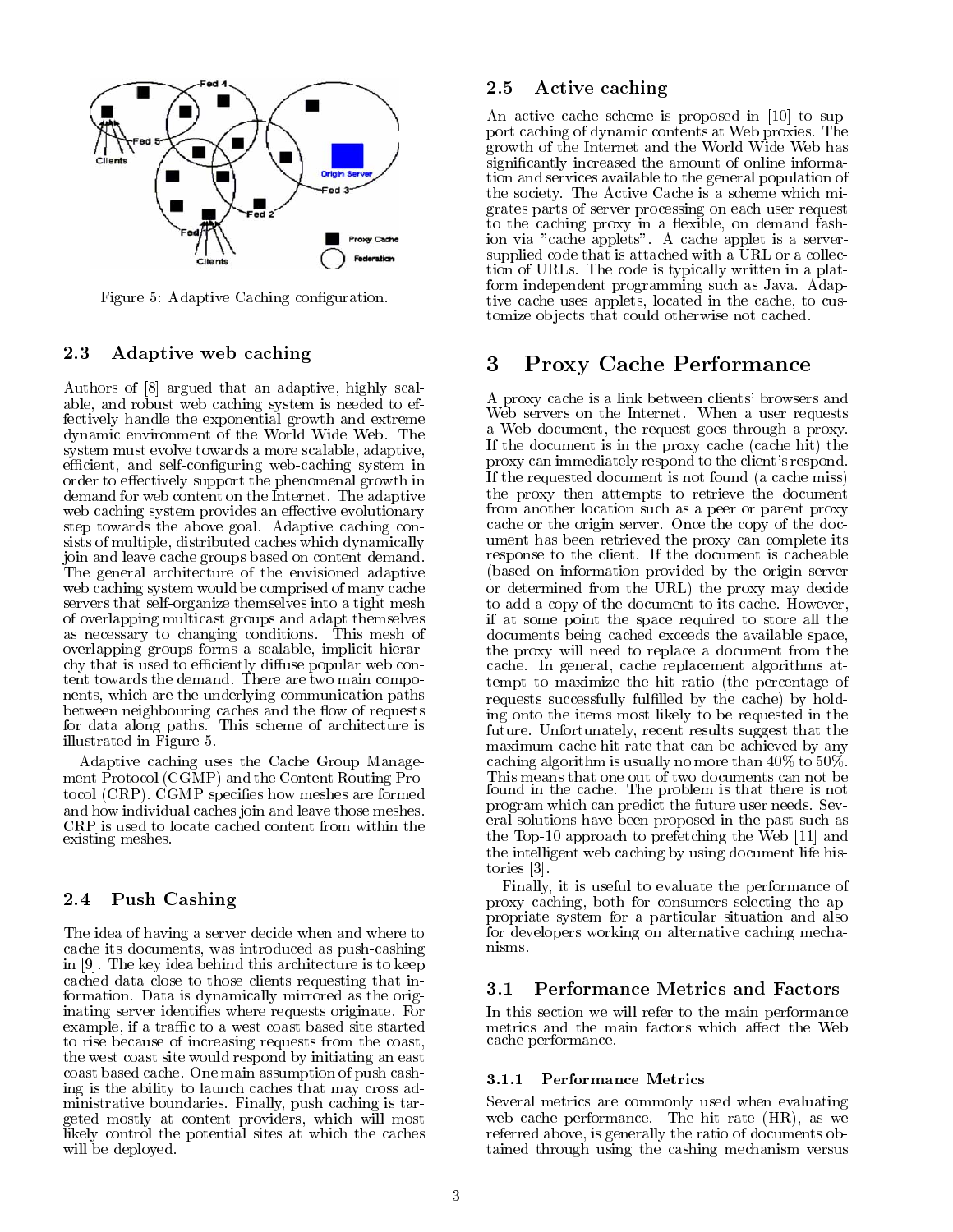

Figure 5: Adaptive Caching configuration.

#### 2.3 Adaptive web caching

argued that an adaptive that argued that an adaptive that an adaptive the scale of the scale of the scale of t able, and robust web caching system is needed to effectively handle the exponential growth and extreme dynamic environment of the World Wide Web. The system must evolve towards a more scalable, adaptive, efficient, and self-configuring web-caching system in order to effectively support the phenomenal growth in demand for web content on the Internet. The adaptive web caching system provides an effective evolutionary step towards the above goal Adaptive caching con sists of multiple, distributed caches which dynamically join and leave cache groups based on content demand The general architecture of the envisioned adaptive web caching system would be comprised of many cache servers that self-organize themselves into a tight mesh of overlapping multicast groups and adapt themselves as necessary to changing conditions This mesh of overlapping groups forms a scalable, implicit hierarchy that is used to efficiently diffuse popular web content towards the demand. There are two main components, which are the underlying communication paths between neighbouring caches and the flow of requests for data along paths. This scheme of architecture is illustrated in Figure

Adaptive caching uses the Cache Group Manage ment Protocol Camp-Content Routing Protocol Campaign Pro  $\mathcal{N}$  are formed species how meshes are formed species are formed species are formed species are formed species are formed species are formed species are formed species are formed species are formed species are formed and how individual caches join and leave those meshes CRP is used to locate cached content from within the existing meshes

## 2.4 Push Cashing

The idea of having a server decide when and where to cache its documents, was introduced as push-cashing in the key idea behind the key idea behind the key idea behind the key idea behind the key idea behind the key cached data close to those clients requesting that in formation. Data is dynamically mirrored as the originating server identifies where requests originate. For example, if a traffic to a west coast based site started to rise because of increasing requests from the coast the west coast site would respond by initiating an east coast based cache One main assumption of push cash ing is the ability to launch caches that may cross ad ministrative boundaries. Finally, push caching is targeted mostly at content providers, which will most likely control the potential sites at which the caches will be deployed

### 2.5 Active caching

An active cache scheme is proposed in  $\mathbb{R}^n$  . The support is proposed in  $\mathbb{R}^n$ port caching of dynamic contents at Web proxies The growth of the Internet and the World Wide Web has significantly increased the amount of online information and services available to the general population of the society The Active Cache is a scheme which mi grates parts of server processing on each user request to the caching proxy in a flexible, on demand fashion via "cache applets". A cache applet is a serversupplied code that is attached with a URL or a collection of URLs The code is typically written in a plat form independent programming such as Java Adap tive cache uses applets, located in the cache, to customize ob jects that could otherwise not cached

#### Proxy Cache Performance 3

A proxy cache is a link between clients' browsers and Web servers on the Internet. When a user requests a Web document, the request goes through a proxy. If the document is in the proxy cache cache hit- the proxy can immediately respond to the client's respond. If the requested document is not found (a cache miss) the proxy then attempts to retrieve the document from another location such as a peer or parent proxy cache or the origin server. Once the copy of the document has been retrieved the proxy can complete its response to the client. If the document is cacheable based on information provided by the origin server or determined from the proxy may decide from the proxy may decide the proxy may decide the proxy may decide the to add a copy of the document to its cache However if at some point the space required to store all the documents being cached exceeds the available space the proxy will need to replace a document from the cache. In general, cache replacement algorithms attempt to maximize the hit ratio (the percentage of requests successfully fullled by the cache- by hold ing onto the items most likely to be requested in the future. Unfortunately, recent results suggest that the maximum cache hit rate that can be achieved by any caching algorithm is usually no more than  $40\%$  to  $50\%$ . found in the cache. The problem is that there is not program which can predict the future user needs. Several solutions have been proposed in the past such as the Top I approach to prefect the Medicine Web  $\alpha$ the intelligent web caching by using document life his tories [3].

Finally, it is useful to evaluate the performance of proxy caching, both for consumers selecting the appropriate system for a particular situation and also for developers working on alternative caching mecha nisms

In this section we will refer to the main performance metrics and the main factors which affect the Web cache performance

#### -- Performance Metrics

Several metrics are commonly used when evaluating we can performance  $\sim$   $\sim$   $\sim$   $\sim$   $\sim$   $\sim$   $\sim$ referred above, is generally the ratio of documents obtained through using the cashing mechanism versus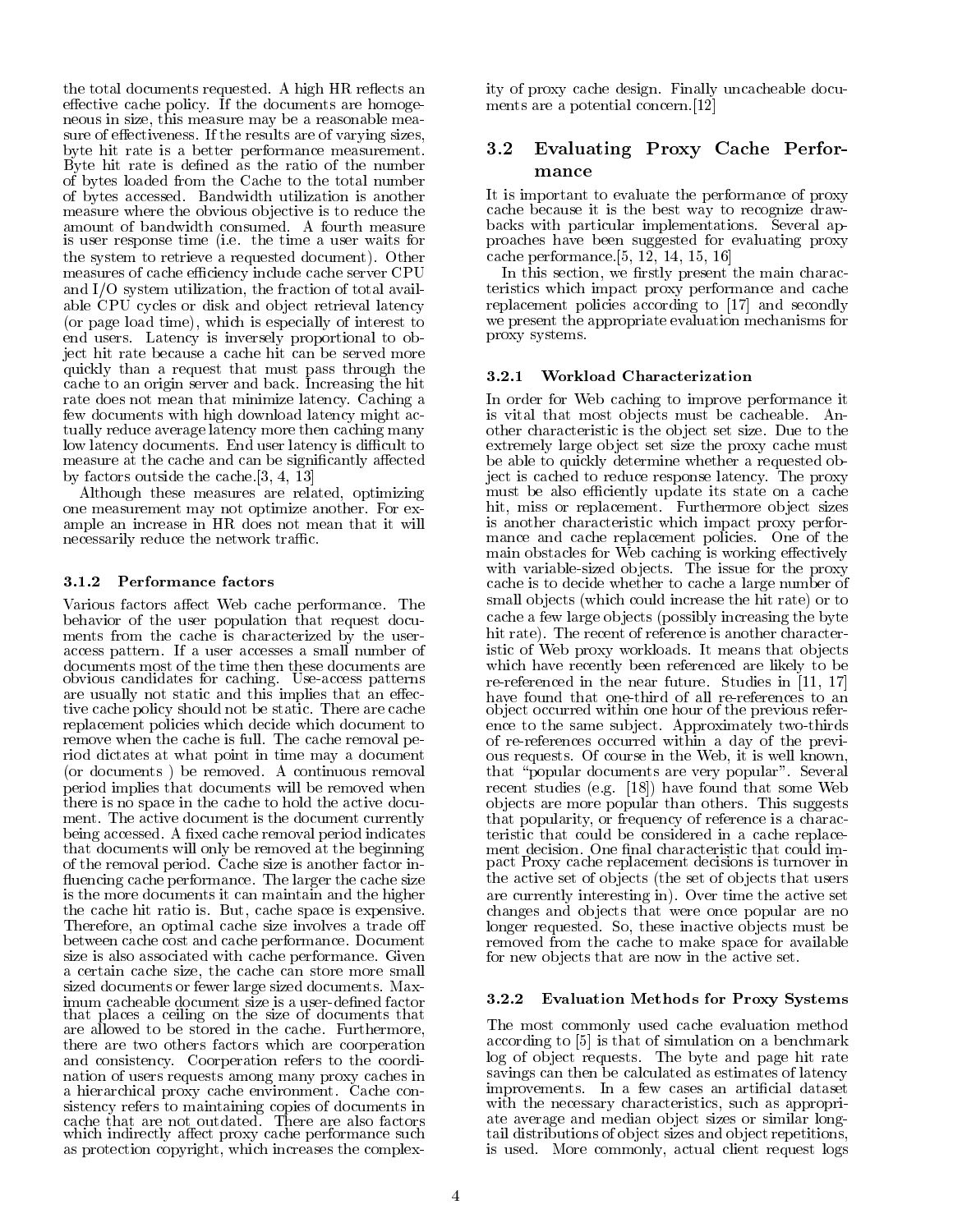the total documents requested. A high HR reflects an effective cache policy. If the documents are homogeneous in size, this measure may be a reasonable measure of effectiveness. If the results are of varying sizes, byte hit rate is a better performance measurement Byte hit rate is defined as the ratio of the number of bytes loaded from the Cache to the total number of bytes accessed. Bandwidth utilization is another measure where the obvious objective is to reduce the amount of bandwidth consumed. A fourth measure is user response time (i.e. the time a user waits for the system to requested document-document-document-document-document-document-document-document-document-docum measures of cache efficiency include cache server CPU and  $I/O$  system utilization, the fraction of total available CPU cycles or disk and object retrieval latency  $\mathcal{N}$  and time-domination is especially of interest to interest to interest to interest to interest to interest to interest to interest the second term in the second term in the second term in the second term in the se end users. Latency is inversely proportional to object hit rate because a cache hit can be served more quickly than a request that must pass through the cache to an origin server and back Increasing the hit rate does not mean that minimize latency Caching a few documents with high download latency might ac tually reduce average latency more then caching many low latency documents. End user latency is difficult to measure at the cache and can be significantly affected by factors outside the cache.  $[3, 4, 13]$ 

Although these measures are related, optimizing one measurement may not optimize another. For example an increase in HR does not mean that it will necessarily reduce the network traffic.

Various factors affect Web cache performance. The behavior of the user population that request docu ments from the cache is characterized by the user access pattern. If a user accesses a small number of obvious candidates for caching. Use access patterns are usually not static and this implies that an effective cache policy should not be static. There are cache replacement policies which decide which document to remove when the cache is full. The cache removal period dictates at what point in time may a document  $\mathbf b$ period implies that documents will be removed when there is no space in the cache to hold the active docu ment. The active document is the document currently being accessed. A fixed cache removal period indicates that documents will only be removed at the beginning of the removal period. Cache size is another factor influencing cache performance. The larger the cache size is the more documents it can maintain and the higher the cache hit ratio is. But, cache space is expensive. Therefore, an optimal cache size involves a trade off between cache cost and cache performance. Document size is also associated with cache performance Given a certain cache size, the cache can store more small sized documents or fewer large sized documents Max imum cacheable document size is a user-defined factor that places a ceiling on the size of documents that are allowed to be stored in the cache. Furthermore, there are two others factors which are coorperation and consistency Coorperation refers to the coordi nation of users requests among many proxy caches in a hierarchical proxy cache environment Cache con sistency refers to maintaining copies of documents in which indirectly affect proxy cache performance such as protection copyright, which increases the complex-

ity of proxy cache design Finally uncacheable docu ments are a potential concern.<sup>[12]</sup>

# Evaluating Proxy Cache Perfor mance

It is important to evaluate the performance of proxy cache because it is the best way to recognize draw backs with particular implementations Several ap proaches have been suggested for evaluating proxy cache performance. $[5, 12, 14, 15, 16]$ 

In this section, we firstly present the main characteristics which impact proxy performance and cache replacement policies according to and secondly to and secondly to and secondly to and secondly to and secondly we present the appropriate evaluation mechanisms for proxy systems

## Workload Characterization

In order for Web caching to improve performance it is vital that most objects must be cacheable. Another characteristic is the ob ject set size Due to the extremely large ob ject set size the proxy cache must be able to quickly determine whether a requested ob ject is cached to reduce response latency. The proxy must be also efficiently update its state on a cache hit, miss or replacement. Furthermore object sizes is another characteristic which impact proxy perfor mance and cache replacement policies. One of the main obstacles for Web caching is working effectively with variable-sized objects. The issue for the proxy cache is to decide whether to cache a large number of small objects which could increase the hit rates the main could just the hit rate of  $\sim$ cache a few large objects (possibly increasing the byte hit rate-term is another character is another character is another character is another character is another c istic of Web proxy workloads. It means that objects which have recently been referenced are likely to be re-referenced in the near future. Studies in  $[11, 17]$ object occurred within one hour of the previous reference to the same subject. Approximately two-thirds of re-references occurred within a day of the previous requests. Of course in the Web, it is well known, that "popular documents are very popular". Several recent studies ( ), ( ) = ) , ( ) = ) . ( ) = ( ) = ( ) = ( ) = ( ) = ( ) = ( ) = ( ) = ( ) = ( ) = ( ) = ( ) = ( ) = ( ) = ( ) = ( ) = ( ) = ( ) = ( ) = ( ) = ( ) = ( ) = ( ) = ( ) = ( ) = ( ) = ( ) = ( ) = ( ) = ( ) = ( ob jects are more popular than others This suggests that popularity, or frequency of reference is a characteristic that could be considered in a cache replace pact Proxy cache replacement decisions is turnover in the active set of objects (the set of objects that users are currently interesting in-  $\alpha$  , the active set of a change  $\alpha$ changes and ob jects that were once popular are no longer requested. So, these inactive objects must be removed from the cache to make space for available for new ob jects that are now in the active set

## -- Evaluation Methods for Proxy Systems

The most commonly used cache evaluation method according to provide the simulation on a simulation of simulation on a benchmark of the simulation of the simulation of the simulation of the simulation of the simulation of the simulation of the simulation of the simulati log of object requests. The byte and page hit rate savings can then be calculated as estimates of latency improvements. In a few cases an artificial dataset with the necessary characteristics, such as appropriate average and median object sizes or similar longtail distributions of object sizes and object repetitions, is used. More commonly, actual client request logs